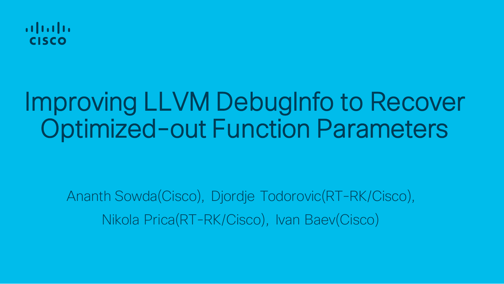

# Improving LLVM DebugInfo to Recover Optimized-out Function Parameters

Ananth Sowda(Cisco), Djordje Todorovic(RT-RK/Cisco), Nikola Prica(RT-RK/Cisco), Ivan Baev(Cisco)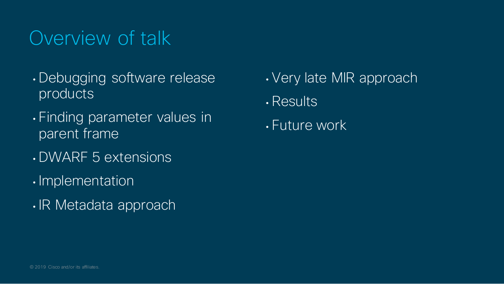## Overview of talk

- Debugging software release products
- Finding parameter values in parent frame
- DWARF 5 extensions
- Implementation
- IR Metadata approach
- Very late MIR approach
- Results
- Future work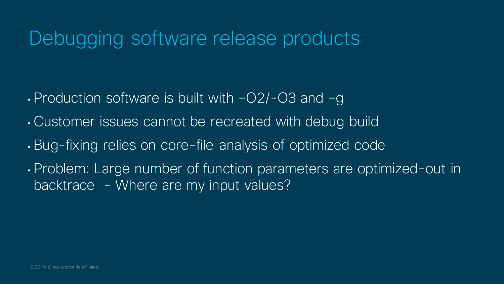### Debugging software release products

- Production software is built with –O2/-O3 and –g
- Customer issues cannot be recreated with debug build
- Bug-fixing relies on core-file analysis of optimized code
- Problem: Large number of function parameters are optimized-out in backtrace - Where are my input values?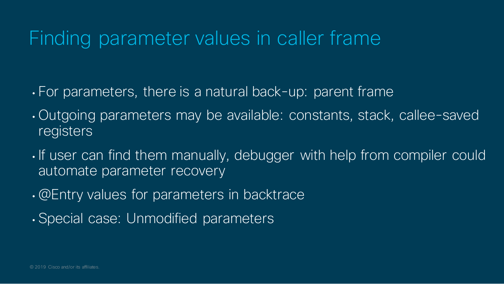## Finding parameter values in caller frame

- For parameters, there is a natural back-up: parent frame
- Outgoing parameters may be available: constants, stack, callee-saved **registers**
- If user can find them manually, debugger with help from compiler could automate parameter recovery
- @Entry values for parameters in backtrace
- Special case: Unmodified parameters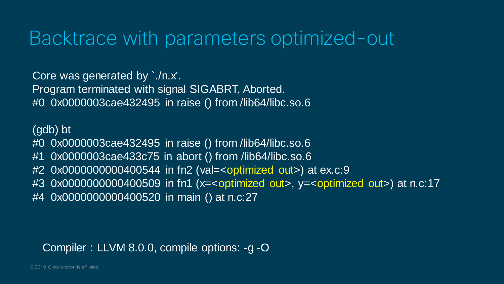### Backtrace with parameters optimized-out

Core was generated by `./n.x'. Program terminated with signal SIGABRT, Aborted. #0 0x0000003cae432495 in raise () from /lib64/libc.so.6

(gdb) bt #0 0x0000003cae432495 in raise () from /lib64/libc.so.6 #1 0x0000003cae433c75 in abort () from /lib64/libc.so.6 #2 0x0000000000400544 in fn2 (val=<optimized out>) at ex.c:9 #3 0x0000000000400509 in fn1 (x=<optimized out>, y=<optimized out>) at n.c:17 #4 0x0000000000400520 in main () at n.c:27

#### Compiler : LLVM 8.0.0, compile options: -g -O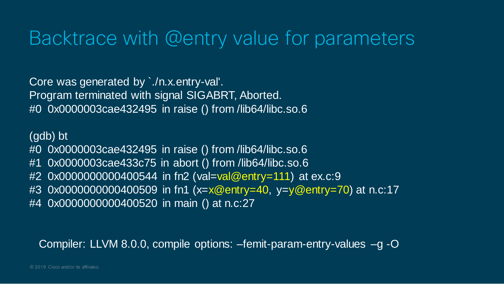### Backtrace with @entry value for parameters

Core was generated by `./n.x.entry-val'. Program terminated with signal SIGABRT, Aborted. #0 0x0000003cae432495 in raise () from /lib64/libc.so.6

(gdb) bt #0 0x0000003cae432495 in raise () from /lib64/libc.so.6 #1 0x0000003cae433c75 in abort () from /lib64/libc.so.6 #2 0x0000000000400544 in fn2 (val=val@entry=111) at ex.c:9 #3 0x0000000000400509 in fn1 (x=x@entry=40, y=y@entry=70) at n.c:17 #4 0x0000000000400520 in main () at n.c:27

Compiler: LLVM 8.0.0, compile options: –femit-param-entry-values –g -O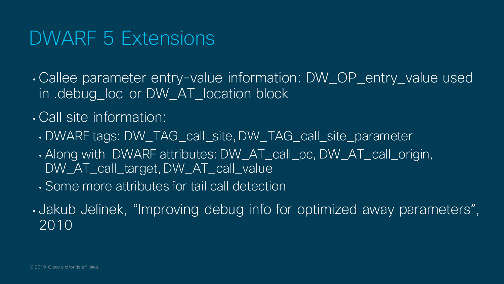### DWARF 5 Extensions

• Callee parameter entry-value information: DW\_OP\_entry\_value used in .debug\_loc or DW\_AT\_location block

### • Call site information:

- DWARF tags: DW\_TAG\_call\_site, DW\_TAG\_call\_site\_parameter
- Along with DWARF attributes: DW\_AT\_call\_pc, DW\_AT\_call\_origin, DW\_AT\_call\_target, DW\_AT\_call\_value
- Some more attributes for tail call detection
- Jakub Jelinek, "Improving debug info for optimized away parameters", 2010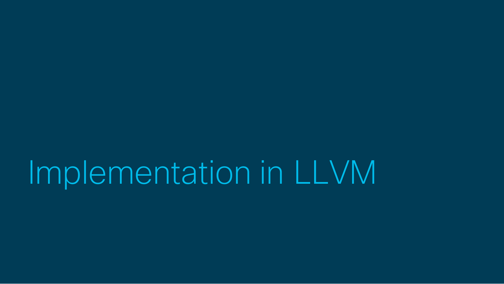Implementation in LLVM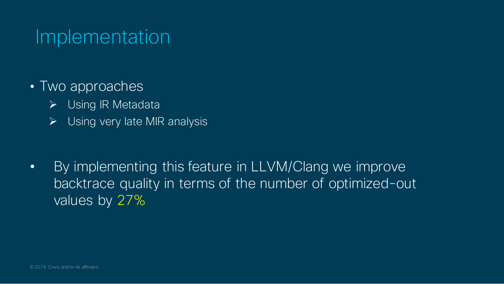### Implementation

- Two approaches
	- ▶ Using IR Metadata
	- $\triangleright$  Using very late MIR analysis

• By implementing this feature in LLVM/Clang we improve backtrace quality in terms of the number of optimized-out values by 27%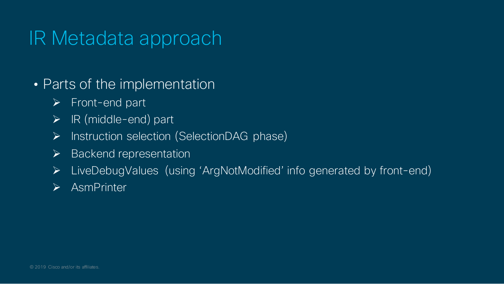- Parts of the implementation
	- $\triangleright$  Front-end part
	- $\triangleright$  IR (middle-end) part
	- $\triangleright$  Instruction selection (SelectionDAG phase)
	- $\triangleright$  Backend representation
	- LiveDebugValues (using 'ArgNotModified' info generated by front-end)
	- > AsmPrinter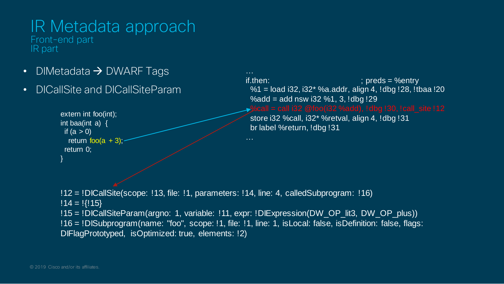Front-end part IR part

- DIMetadata  $\rightarrow$  DWARF Tags
- DICallSite and DICallSiteParam

```
extern int foo(int);
int baa(int a) {
 if (a > 0)return foo(a + 3);
 return 0;
}
```
…  $if.$  then:  $if.$  preds = %entry %1 = load i32, i32\* %a.addr, align 4, !dbg !28, !tbaa !20  $% \text{add} = \text{add}$  nsw i32  $% \overline{1}$ , 3,  $\text{1dbg}$  !29

store i32 %call, i32\* %retval, align 4, !dbg !31 br label %return, !dbg !31

!12 = !DICallSite(scope: !13, file: !1, parameters: !14, line: 4, calledSubprogram: !16)  $!14 = !{!15}$ !15 = !DICallSiteParam(argno: 1, variable: !11, expr: !DIExpression(DW\_OP\_lit3, DW\_OP\_plus)) !16 = !DISubprogram(name: "foo", scope: !1, file: !1, line: 1, isLocal: false, isDefinition: false, flags: DIFlagPrototyped, isOptimized: true, elements: !2)

…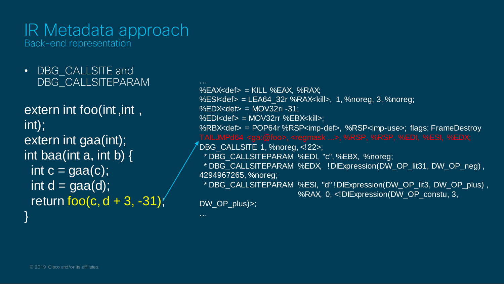Back-end representation

• DBG CALLSITE and DBG\_CALLSITEPARAM

extern int foo(int ,int , int); extern int gaa(int); int baa(int a, int b)  $\{$ int  $c = \text{gaa}(c)$ ; int  $d = \text{gaa}(d)$ ; return foo $(c, d + 3, -31)$ ; }

 $%$ EAX<def> = KILL  $%$ EAX,  $%$ RAX; %ESI<def> = LEA64\_32r %RAX<kill>, 1, %noreg, 3, %noreg;  $%$ EDX<def> = MOV32ri -31: %EDI<def> = MOV32rr %EBX<kill>: %RBX<def> = POP64r %RSP<imp-def>, %RSP<imp-use>; flags: FrameDestroy DBG\_CALLSITE 1, %noreg, <!22>; \* DBG\_CALLSITEPARAM %EDI, "c", %EBX, %noreg; \* DBG\_CALLSITEPARAM %EDX, !DIExpression(DW\_OP\_lit31, DW\_OP\_neg) , 4294967265, %noreg; \* DBG\_CALLSITEPARAM %ESI, "d" !DIExpression(DW\_OP\_lit3, DW\_OP\_plus) , %RAX, 0, <! DIExpression(DW\_OP\_constu, 3,

DW\_OP\_plus)>;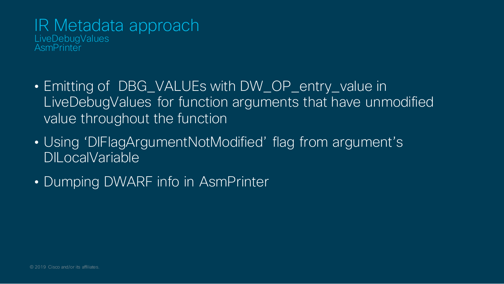#### IR Metadata approach **LiveDebugValues AsmPrinter**

- Emitting of DBG\_VALUEs with DW\_OP\_entry\_value in LiveDebugValues for function arguments that have unmodified value throughout the function
- Using 'DIFlagArgumentNotModified' flag from argument's DILocalVariable
- Dumping DWARF info in AsmPrinter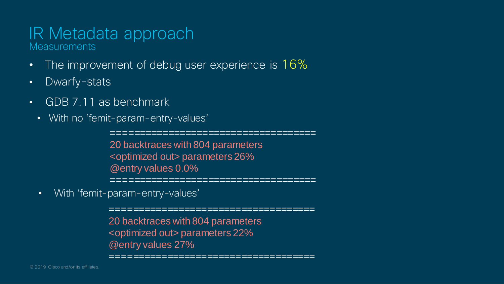#### IR Metadata approach **Measurements**

- The improvement of debug user experience is 16%
- Dwarfy-stats
- GDB 7.11 as benchmark
	- With no 'femit-param-entry-values'

==================================== 20 backtraces with 804 parameters <optimized out> parameters 26% @entry values 0.0%

==================================== • With 'femit-param-entry-values'

> ==================================== 20 backtraces with 804 parameters <optimized out> parameters 22% @entry values 27%

====================================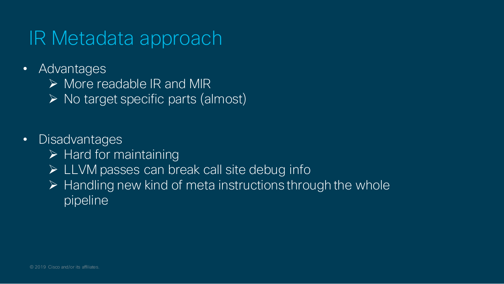- Advantages
	- $\triangleright$  More readable IR and MIR
	- $\triangleright$  No target specific parts (almost)
- Disadvantages
	- $\triangleright$  Hard for maintaining
	- > LLVM passes can break call site debug info
	- $\triangleright$  Handling new kind of meta instructions through the whole pipeline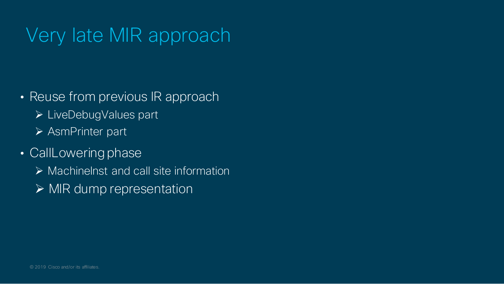- Reuse from previous IR approach
	- LiveDebugValues part
	- AsmPrinter part
- CallLowering phase
	- $\triangleright$  Machinelnst and call site information
	- $\triangleright$  MIR dump representation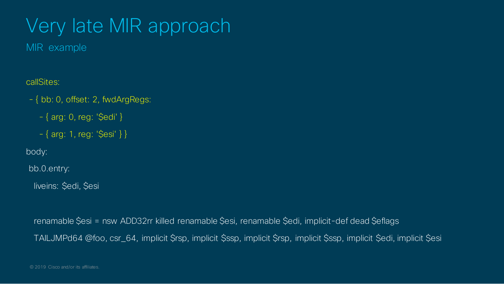MIR example

callSites:

- { bb: 0, offset: 2, fwdArgRegs:
	- $-$  { arg: 0, reg: '\$edi' }
	- $-\{$  arg: 1, reg: '\$esi' } }

body:

bb.0.entry:

liveins: \$edi, \$esi

renamable \$esi = nsw ADD32rr killed renamable \$esi, renamable \$edi, implicit-def dead \$eflags TAILJMPd64 @foo, csr\_64, implicit \$rsp, implicit \$ssp, implicit \$rsp, implicit \$ssp, implicit \$edi, implicit \$esi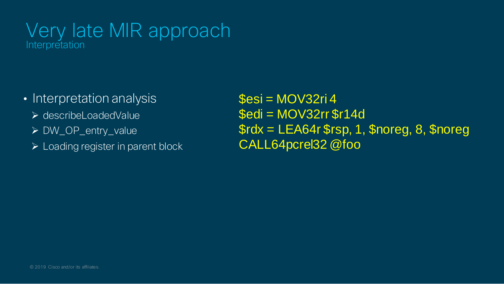### Very late MIR approach Interpretation

- Interpretation analysis
	- describeLoadedValue
	- DW\_OP\_entry\_value
	- Loading register in parent block

 $\text{S}\text{esi} = \text{MOV}32\text{ri }4$  $$edi = MOV32rr$  $$r14d$ \$rdx = LEA64r \$rsp, 1, \$noreg, 8, \$noreg CALL64pcrel32 @foo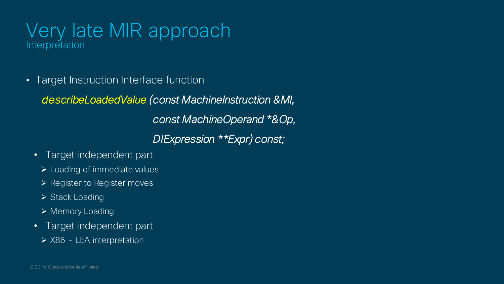### Very late MIR approach Interpretation

• Target Instruction Interface function

*describeLoadedValue (const MachineInstruction &MI,* 

*const MachineOperand \*&Op,*

*DIExpression \*\*Expr) const;*

- Target independent part
	- Loading of immediate values
	- $\triangleright$  Register to Register moves
	- $\triangleright$  Stack Loading
	- ▶ Memory Loading
- Target independent part
	- ▶ X86 LEA interpretation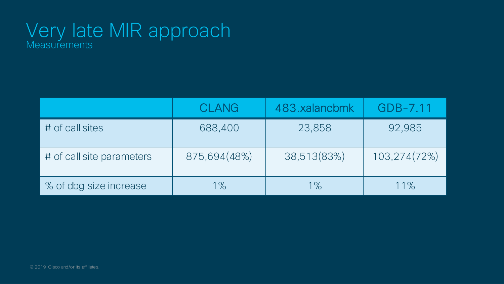### Very late MIR approach **Measurements**

|                           | <b>CLANG</b> | 483.xalancbmk | GDB-7.11     |
|---------------------------|--------------|---------------|--------------|
| # of call sites           | 688,400      | 23,858        | 92,985       |
| # of call site parameters | 875,694(48%) | 38,513(83%)   | 103,274(72%) |
| % of dbg size increase    | $1\%$        | $1\%$         | 11%          |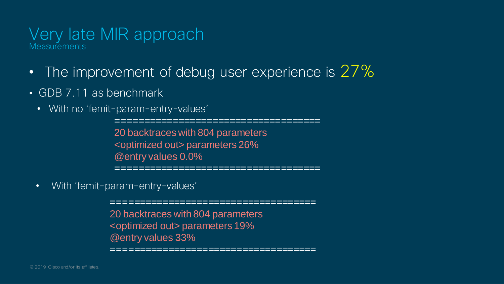#### Very late MIR approach **Measurements**

- The improvement of debug user experience is 27%
- GDB 7.11 as benchmark
	- With no 'femit-param-entry-values'

==================================== 20 backtraces with 804 parameters <optimized out> parameters 26% @entry values 0.0% ====================================

• With 'femit-param-entry-values'

20 backtraces with 804 parameters <optimized out> parameters 19% @entry values 33% ====================================

====================================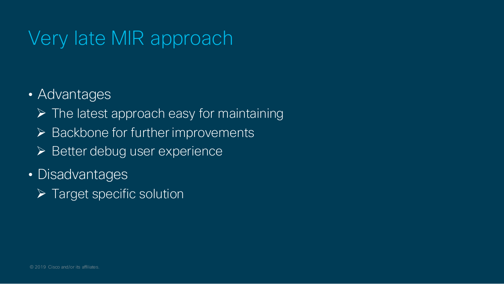- Advantages
	- $\triangleright$  The latest approach easy for maintaining
	- $\triangleright$  Backbone for further improvements
	- $\triangleright$  Better debug user experience
- Disadvantages
	- $\triangleright$  Target specific solution